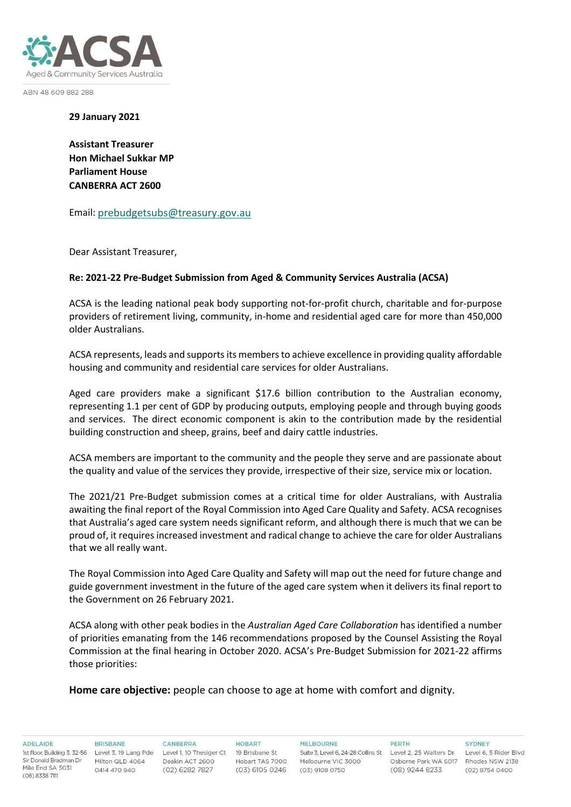

ABN 48 609 882 288

## **29 January 2021**

**Assistant Treasurer Hon Michael Sukkar MP Parliament House CANBERRA ACT 2600**

Email: [prebudgetsubs@treasury.gov.au](mailto:prebudgetsubs@treasury.gov.au)

Dear Assistant Treasurer,

## **Re: 2021-22 Pre-Budget Submission from Aged & Community Services Australia (ACSA)**

ACSA is the leading national peak body supporting not-for-profit church, charitable and for-purpose providers of retirement living, community, in-home and residential aged care for more than 450,000 older Australians.

ACSA represents, leads and supports its members to achieve excellence in providing quality affordable housing and community and residential care services for older Australians.

Aged care providers make a significant \$17.6 billion contribution to the Australian economy, representing 1.1 per cent of GDP by producing outputs, employing people and through buying goods and services. The direct economic component is akin to the contribution made by the residential building construction and sheep, grains, beef and dairy cattle industries.

ACSA members are important to the community and the people they serve and are passionate about the quality and value of the services they provide, irrespective of their size, service mix or location.

The 2021/21 Pre-Budget submission comes at a critical time for older Australians, with Australia awaiting the final report of the Royal Commission into Aged Care Quality and Safety. ACSA recognises that Australia's aged care system needs significant reform, and although there is much that we can be proud of, it requires increased investment and radical change to achieve the care for older Australians that we all really want.

The Royal Commission into Aged Care Quality and Safety will map out the need for future change and guide government investment in the future of the aged care system when it delivers its final report to the Government on 26 February 2021.

ACSA along with other peak bodies in the *Australian Aged Care Collaboration* has identified a number of priorities emanating from the 146 recommendations proposed by the Counsel Assisting the Royal Commission at the final hearing in October 2020. ACSA's Pre-Budget Submission for 2021-22 affirms those priorities:

**Home care objective:** people can choose to age at home with comfort and dignity.

**ADELAIDE** 

Sir Donald Bradman Dr Mile End SA 5031 (08) 8338 7111

**BRISBANE** 0414 470 940

1st floor, Building 3. 32-56 Level 3, 19 Lang Pde Level 1, 10 Thesiger Ct Milton QLD 4064 Deakin ACT 2600 (02) 6282 7827

CANBERRA

**HOBART** 19 Brisbane St (03) 6105 0246

**MELBOURNE** Hobart TAS 7000 Melbourne VIC 3000 (03) 9108 0750

PERTH

Suite 3. Level 6, 24-28 Collins St Level 2, 25 Walters Dr Osborne Park WA 6017 Rhodes NSW 2138 (08) 9244 8233

**SYDNEY** 

Level 6, 5 Rider Blvd (02) 8754 0400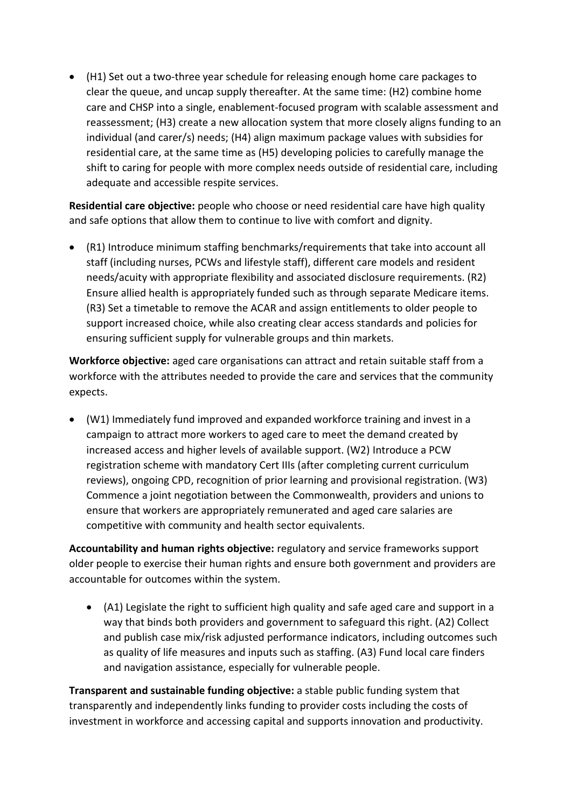• (H1) Set out a two-three year schedule for releasing enough home care packages to clear the queue, and uncap supply thereafter. At the same time: (H2) combine home care and CHSP into a single, enablement-focused program with scalable assessment and reassessment; (H3) create a new allocation system that more closely aligns funding to an individual (and carer/s) needs; (H4) align maximum package values with subsidies for residential care, at the same time as (H5) developing policies to carefully manage the shift to caring for people with more complex needs outside of residential care, including adequate and accessible respite services.

**Residential care objective:** people who choose or need residential care have high quality and safe options that allow them to continue to live with comfort and dignity.

• (R1) Introduce minimum staffing benchmarks/requirements that take into account all staff (including nurses, PCWs and lifestyle staff), different care models and resident needs/acuity with appropriate flexibility and associated disclosure requirements. (R2) Ensure allied health is appropriately funded such as through separate Medicare items. (R3) Set a timetable to remove the ACAR and assign entitlements to older people to support increased choice, while also creating clear access standards and policies for ensuring sufficient supply for vulnerable groups and thin markets.

**Workforce objective:** aged care organisations can attract and retain suitable staff from a workforce with the attributes needed to provide the care and services that the community expects.

• (W1) Immediately fund improved and expanded workforce training and invest in a campaign to attract more workers to aged care to meet the demand created by increased access and higher levels of available support. (W2) Introduce a PCW registration scheme with mandatory Cert IIIs (after completing current curriculum reviews), ongoing CPD, recognition of prior learning and provisional registration. (W3) Commence a joint negotiation between the Commonwealth, providers and unions to ensure that workers are appropriately remunerated and aged care salaries are competitive with community and health sector equivalents.

**Accountability and human rights objective:** regulatory and service frameworks support older people to exercise their human rights and ensure both government and providers are accountable for outcomes within the system.

• (A1) Legislate the right to sufficient high quality and safe aged care and support in a way that binds both providers and government to safeguard this right. (A2) Collect and publish case mix/risk adjusted performance indicators, including outcomes such as quality of life measures and inputs such as staffing. (A3) Fund local care finders and navigation assistance, especially for vulnerable people.

**Transparent and sustainable funding objective:** a stable public funding system that transparently and independently links funding to provider costs including the costs of investment in workforce and accessing capital and supports innovation and productivity.